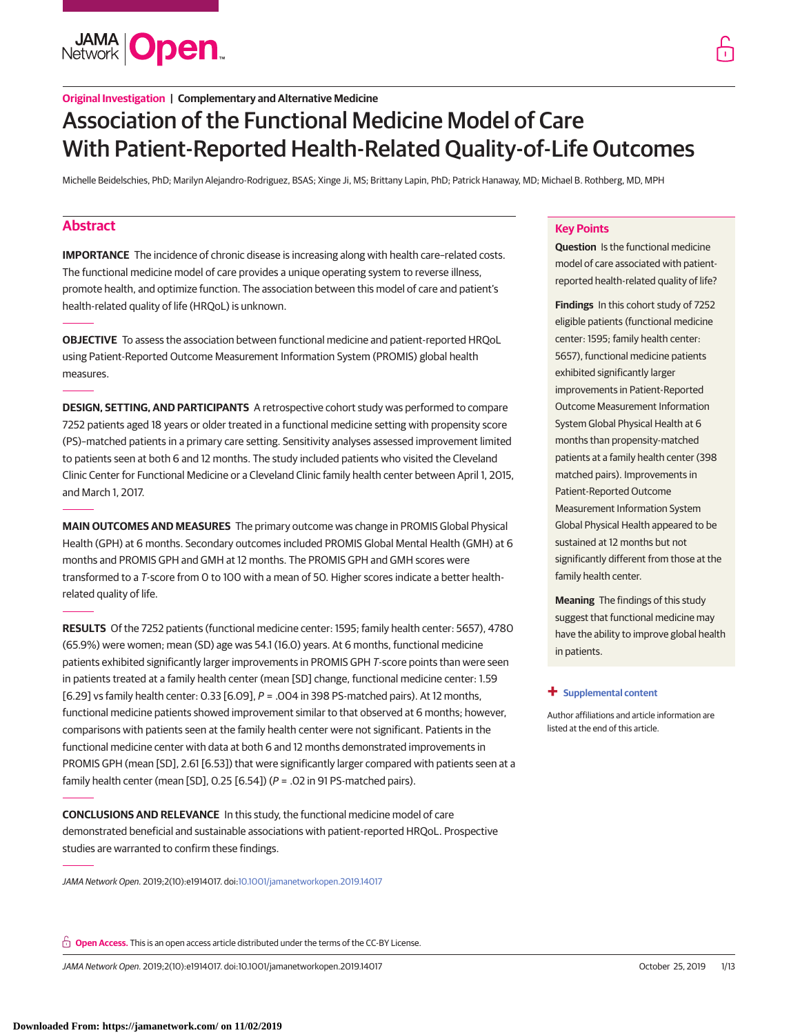

# Association of the Functional Medicine Model of Care With Patient-Reported Health-Related Quality-of-Life Outcomes

Michelle Beidelschies, PhD; Marilyn Alejandro-Rodriguez, BSAS; Xinge Ji, MS; Brittany Lapin, PhD; Patrick Hanaway, MD; Michael B. Rothberg, MD, MPH

# **Abstract**

**IMPORTANCE** The incidence of chronic disease is increasing along with health care–related costs. The functional medicine model of care provides a unique operating system to reverse illness, promote health, and optimize function. The association between this model of care and patient's health-related quality of life (HRQoL) is unknown.

**OBJECTIVE** To assess the association between functional medicine and patient-reported HRQoL using Patient-Reported Outcome Measurement Information System (PROMIS) global health measures.

**DESIGN, SETTING, AND PARTICIPANTS** A retrospective cohort study was performed to compare 7252 patients aged 18 years or older treated in a functional medicine setting with propensity score (PS)–matched patients in a primary care setting. Sensitivity analyses assessed improvement limited to patients seen at both 6 and 12 months. The study included patients who visited the Cleveland Clinic Center for Functional Medicine or a Cleveland Clinic family health center between April 1, 2015, and March 1, 2017.

**MAIN OUTCOMES AND MEASURES** The primary outcome was change in PROMIS Global Physical Health (GPH) at 6 months. Secondary outcomes included PROMIS Global Mental Health (GMH) at 6 months and PROMIS GPH and GMH at 12 months. The PROMIS GPH and GMH scores were transformed to a T-score from 0 to 100 with a mean of 50. Higher scores indicate a better healthrelated quality of life.

**RESULTS** Of the 7252 patients (functional medicine center: 1595; family health center: 5657), 4780 (65.9%) were women; mean (SD) age was 54.1 (16.0) years. At 6 months, functional medicine patients exhibited significantly larger improvements in PROMIS GPH T-score points than were seen in patients treated at a family health center (mean [SD] change, functional medicine center: 1.59 [6.29] vs family health center: 0.33 [6.09], P = .004 in 398 PS-matched pairs). At 12 months, functional medicine patients showed improvement similar to that observed at 6 months; however, comparisons with patients seen at the family health center were not significant. Patients in the functional medicine center with data at both 6 and 12 months demonstrated improvements in PROMIS GPH (mean [SD], 2.61 [6.53]) that were significantly larger compared with patients seen at a family health center (mean [SD], 0.25 [6.54]) ( $P = .02$  in 91 PS-matched pairs).

**CONCLUSIONS AND RELEVANCE** In this study, the functional medicine model of care demonstrated beneficial and sustainable associations with patient-reported HRQoL. Prospective studies are warranted to confirm these findings.

JAMA Network Open. 2019;2(10):e1914017. doi[:10.1001/jamanetworkopen.2019.14017](https://jama.jamanetwork.com/article.aspx?doi=10.1001/jamanetworkopen.2019.14017&utm_campaign=articlePDF%26utm_medium=articlePDFlink%26utm_source=articlePDF%26utm_content=jamanetworkopen.2019.14017)

**Open Access.** This is an open access article distributed under the terms of the CC-BY License.

JAMA Network Open. 2019;2(10):e1914017. doi:10.1001/jamanetworkopen.2019.14017 (Reprinted) October 25, 2019 1/13

## **Key Points**

**Question** Is the functional medicine model of care associated with patientreported health-related quality of life?

**Findings** In this cohort study of 7252 eligible patients (functional medicine center: 1595; family health center: 5657), functional medicine patients exhibited significantly larger improvements in Patient-Reported Outcome Measurement Information System Global Physical Health at 6 months than propensity-matched patients at a family health center (398 matched pairs). Improvements in Patient-Reported Outcome Measurement Information System Global Physical Health appeared to be sustained at 12 months but not significantly different from those at the family health center.

**Meaning** The findings of this study suggest that functional medicine may have the ability to improve global health in patients.

#### **+ [Supplemental content](https://jama.jamanetwork.com/article.aspx?doi=10.1001/jamanetworkopen.2019.14017&utm_campaign=articlePDF%26utm_medium=articlePDFlink%26utm_source=articlePDF%26utm_content=jamanetworkopen.2019.14017)**

Author affiliations and article information are listed at the end of this article.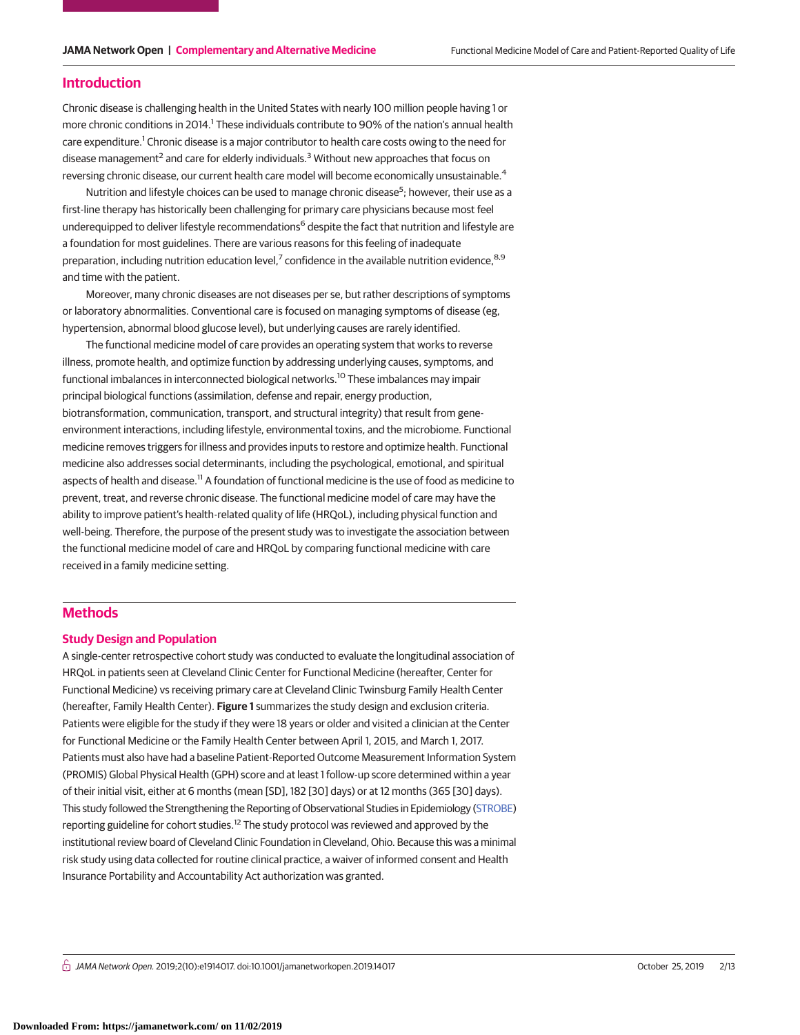## **Introduction**

Chronic disease is challenging health in the United States with nearly 100 million people having 1 or more chronic conditions in 2014.<sup>1</sup> These individuals contribute to 90% of the nation's annual health care expenditure.<sup>1</sup> Chronic disease is a major contributor to health care costs owing to the need for disease management<sup>2</sup> and care for elderly individuals.<sup>3</sup> Without new approaches that focus on reversing chronic disease, our current health care model will become economically unsustainable.<sup>4</sup>

Nutrition and lifestyle choices can be used to manage chronic disease<sup>5</sup>; however, their use as a first-line therapy has historically been challenging for primary care physicians because most feel underequipped to deliver lifestyle recommendations<sup>6</sup> despite the fact that nutrition and lifestyle are a foundation for most guidelines. There are various reasons for this feeling of inadequate preparation, including nutrition education level, $7$  confidence in the available nutrition evidence,  $8,9$ and time with the patient.

Moreover, many chronic diseases are not diseases per se, but rather descriptions of symptoms or laboratory abnormalities. Conventional care is focused on managing symptoms of disease (eg, hypertension, abnormal blood glucose level), but underlying causes are rarely identified.

The functional medicine model of care provides an operating system that works to reverse illness, promote health, and optimize function by addressing underlying causes, symptoms, and functional imbalances in interconnected biological networks.<sup>10</sup> These imbalances may impair principal biological functions (assimilation, defense and repair, energy production, biotransformation, communication, transport, and structural integrity) that result from geneenvironment interactions, including lifestyle, environmental toxins, and the microbiome. Functional medicine removes triggers for illness and provides inputs to restore and optimize health. Functional medicine also addresses social determinants, including the psychological, emotional, and spiritual aspects of health and disease.<sup>11</sup> A foundation of functional medicine is the use of food as medicine to prevent, treat, and reverse chronic disease. The functional medicine model of care may have the ability to improve patient's health-related quality of life (HRQoL), including physical function and well-being. Therefore, the purpose of the present study was to investigate the association between the functional medicine model of care and HRQoL by comparing functional medicine with care received in a family medicine setting.

# **Methods**

## **Study Design and Population**

A single-center retrospective cohort study was conducted to evaluate the longitudinal association of HRQoL in patients seen at Cleveland Clinic Center for Functional Medicine (hereafter, Center for Functional Medicine) vs receiving primary care at Cleveland Clinic Twinsburg Family Health Center (hereafter, Family Health Center). **Figure 1** summarizes the study design and exclusion criteria. Patients were eligible for the study if they were 18 years or older and visited a clinician at the Center for Functional Medicine or the Family Health Center between April 1, 2015, and March 1, 2017. Patients must also have had a baseline Patient-Reported Outcome Measurement Information System (PROMIS) Global Physical Health (GPH) score and at least 1 follow-up score determined within a year of their initial visit, either at 6 months (mean [SD], 182 [30] days) or at 12 months (365 [30] days). This study followed the Strengthening the Reporting of Observational Studies in Epidemiology [\(STROBE\)](http://www.equator-network.org/reporting-guidelines/strobe/) reporting guideline for cohort studies.<sup>12</sup> The study protocol was reviewed and approved by the institutional review board of Cleveland Clinic Foundation in Cleveland, Ohio. Because this was a minimal risk study using data collected for routine clinical practice, a waiver of informed consent and Health Insurance Portability and Accountability Act authorization was granted.

 $\stackrel{\curvearrowright}{\cap}$  JAMA Network Open. 2019;2(10):e1914017. doi:10.1001/jamanetworkopen.2019.14017 (Reprinted) October 25, 2019 2/13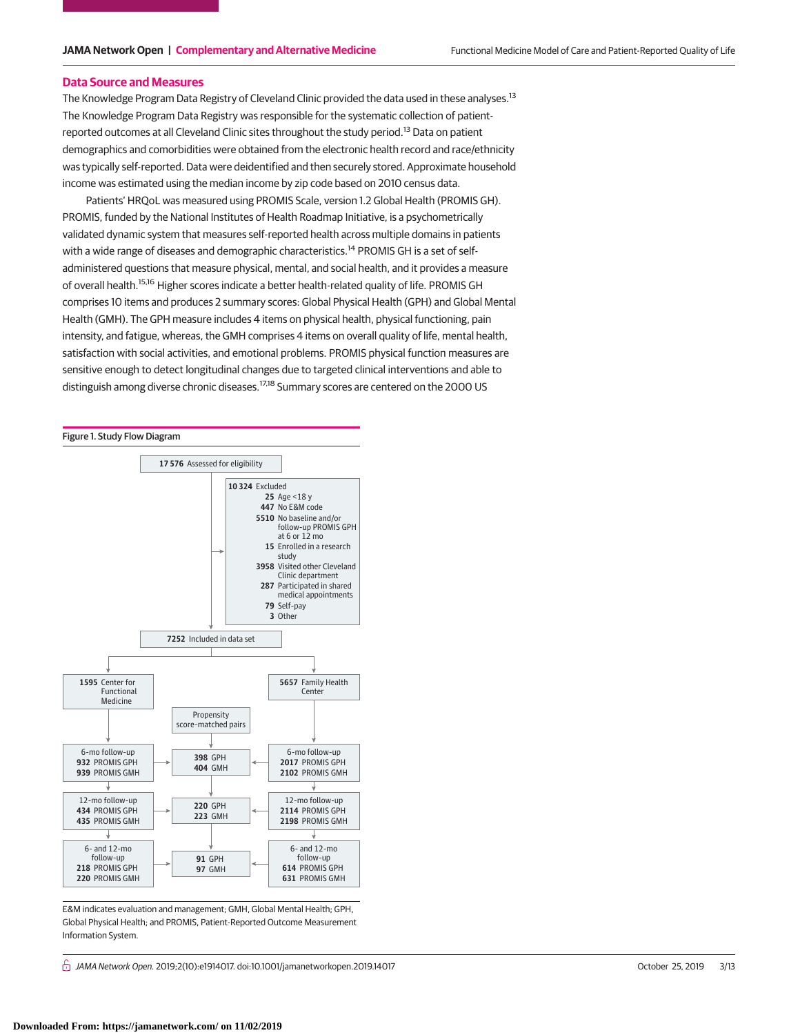#### **Data Source and Measures**

The Knowledge Program Data Registry of Cleveland Clinic provided the data used in these analyses.<sup>13</sup> The Knowledge Program Data Registry was responsible for the systematic collection of patientreported outcomes at all Cleveland Clinic sites throughout the study period.<sup>13</sup> Data on patient demographics and comorbidities were obtained from the electronic health record and race/ethnicity was typically self-reported. Data were deidentified and then securely stored. Approximate household income was estimated using the median income by zip code based on 2010 census data.

Patients' HRQoL was measured using PROMIS Scale, version 1.2 Global Health (PROMIS GH). PROMIS, funded by the National Institutes of Health Roadmap Initiative, is a psychometrically validated dynamic system that measures self-reported health across multiple domains in patients with a wide range of diseases and demographic characteristics.<sup>14</sup> PROMIS GH is a set of selfadministered questions that measure physical, mental, and social health, and it provides a measure of overall health.15,16 Higher scores indicate a better health-related quality of life. PROMIS GH comprises 10 items and produces 2 summary scores: Global Physical Health (GPH) and Global Mental Health (GMH). The GPH measure includes 4 items on physical health, physical functioning, pain intensity, and fatigue, whereas, the GMH comprises 4 items on overall quality of life, mental health, satisfaction with social activities, and emotional problems. PROMIS physical function measures are sensitive enough to detect longitudinal changes due to targeted clinical interventions and able to distinguish among diverse chronic diseases.<sup>17,18</sup> Summary scores are centered on the 2000 US



E&M indicates evaluation and management; GMH, Global Mental Health; GPH, Global Physical Health; and PROMIS, Patient-Reported Outcome Measurement Information System.

 $\bigcap$  JAMA Network Open. 2019;2(10):e1914017. doi:10.1001/jamanetworkopen.2019.14017 (Reprinted) October 25, 2019 3/13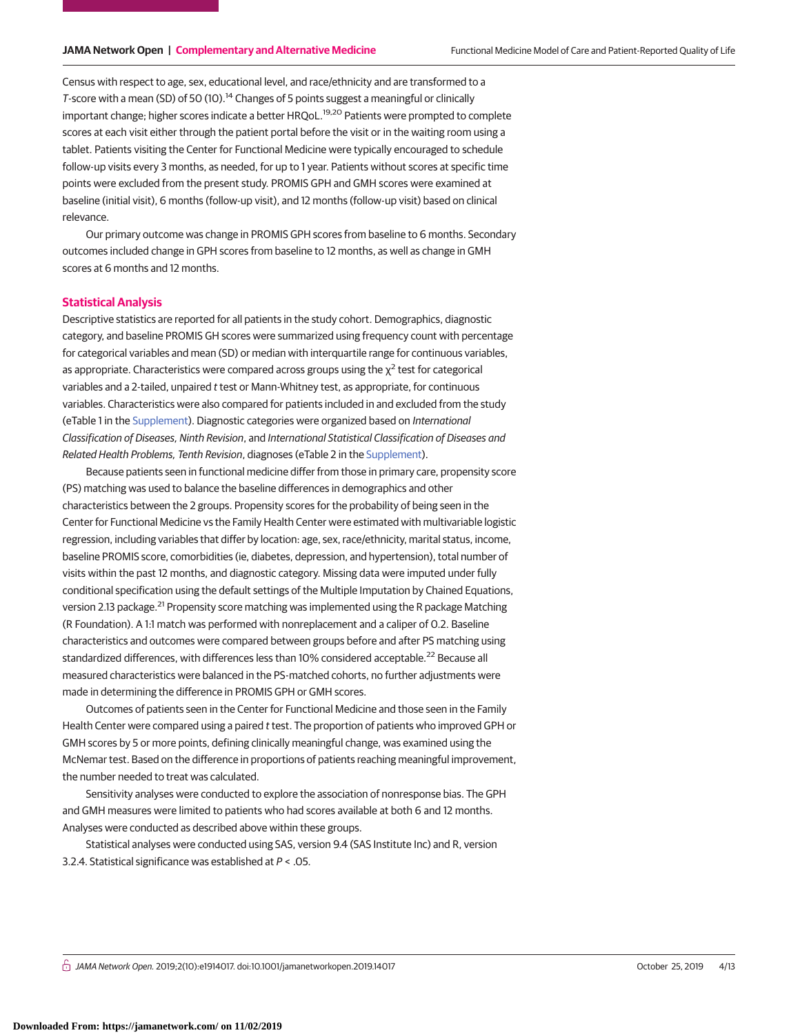Census with respect to age, sex, educational level, and race/ethnicity and are transformed to a T-score with a mean (SD) of 50 (10).<sup>14</sup> Changes of 5 points suggest a meaningful or clinically important change; higher scores indicate a better HRQoL.<sup>19,20</sup> Patients were prompted to complete scores at each visit either through the patient portal before the visit or in the waiting room using a tablet. Patients visiting the Center for Functional Medicine were typically encouraged to schedule follow-up visits every 3 months, as needed, for up to 1 year. Patients without scores at specific time points were excluded from the present study. PROMIS GPH and GMH scores were examined at baseline (initial visit), 6 months (follow-up visit), and 12 months (follow-up visit) based on clinical relevance.

Our primary outcome was change in PROMIS GPH scores from baseline to 6 months. Secondary outcomes included change in GPH scores from baseline to 12 months, as well as change in GMH scores at 6 months and 12 months.

#### **Statistical Analysis**

Descriptive statistics are reported for all patients in the study cohort. Demographics, diagnostic category, and baseline PROMIS GH scores were summarized using frequency count with percentage for categorical variables and mean (SD) or median with interquartile range for continuous variables, as appropriate. Characteristics were compared across groups using the  $\chi^2$  test for categorical variables and a 2-tailed, unpaired t test or Mann-Whitney test, as appropriate, for continuous variables. Characteristics were also compared for patients included in and excluded from the study (eTable 1 in the [Supplement\)](https://jama.jamanetwork.com/article.aspx?doi=10.1001/jamanetworkopen.2019.14017&utm_campaign=articlePDF%26utm_medium=articlePDFlink%26utm_source=articlePDF%26utm_content=jamanetworkopen.2019.14017). Diagnostic categories were organized based on International Classification of Diseases, Ninth Revision, and International Statistical Classification of Diseases and Related Health Problems, Tenth Revision, diagnoses (eTable 2 in the [Supplement\)](https://jama.jamanetwork.com/article.aspx?doi=10.1001/jamanetworkopen.2019.14017&utm_campaign=articlePDF%26utm_medium=articlePDFlink%26utm_source=articlePDF%26utm_content=jamanetworkopen.2019.14017).

Because patients seen in functional medicine differ from those in primary care, propensity score (PS) matching was used to balance the baseline differences in demographics and other characteristics between the 2 groups. Propensity scores for the probability of being seen in the Center for Functional Medicine vs the Family Health Center were estimated with multivariable logistic regression, including variables that differ by location: age, sex, race/ethnicity, marital status, income, baseline PROMIS score, comorbidities (ie, diabetes, depression, and hypertension), total number of visits within the past 12 months, and diagnostic category. Missing data were imputed under fully conditional specification using the default settings of the Multiple Imputation by Chained Equations, version 2.13 package.<sup>21</sup> Propensity score matching was implemented using the R package Matching (R Foundation). A 1:1 match was performed with nonreplacement and a caliper of 0.2. Baseline characteristics and outcomes were compared between groups before and after PS matching using standardized differences, with differences less than 10% considered acceptable.<sup>22</sup> Because all measured characteristics were balanced in the PS-matched cohorts, no further adjustments were made in determining the difference in PROMIS GPH or GMH scores.

Outcomes of patients seen in the Center for Functional Medicine and those seen in the Family Health Center were compared using a paired t test. The proportion of patients who improved GPH or GMH scores by 5 or more points, defining clinically meaningful change, was examined using the McNemar test. Based on the difference in proportions of patients reaching meaningful improvement, the number needed to treat was calculated.

Sensitivity analyses were conducted to explore the association of nonresponse bias. The GPH and GMH measures were limited to patients who had scores available at both 6 and 12 months. Analyses were conducted as described above within these groups.

Statistical analyses were conducted using SAS, version 9.4 (SAS Institute Inc) and R, version 3.2.4. Statistical significance was established at P < .05.

 $\stackrel{\curvearrowright}{\cap}$  JAMA Network Open. 2019;2(10):e1914017. doi:10.1001/jamanetworkopen.2019.14017 (Reprinted) October 25, 2019 4/13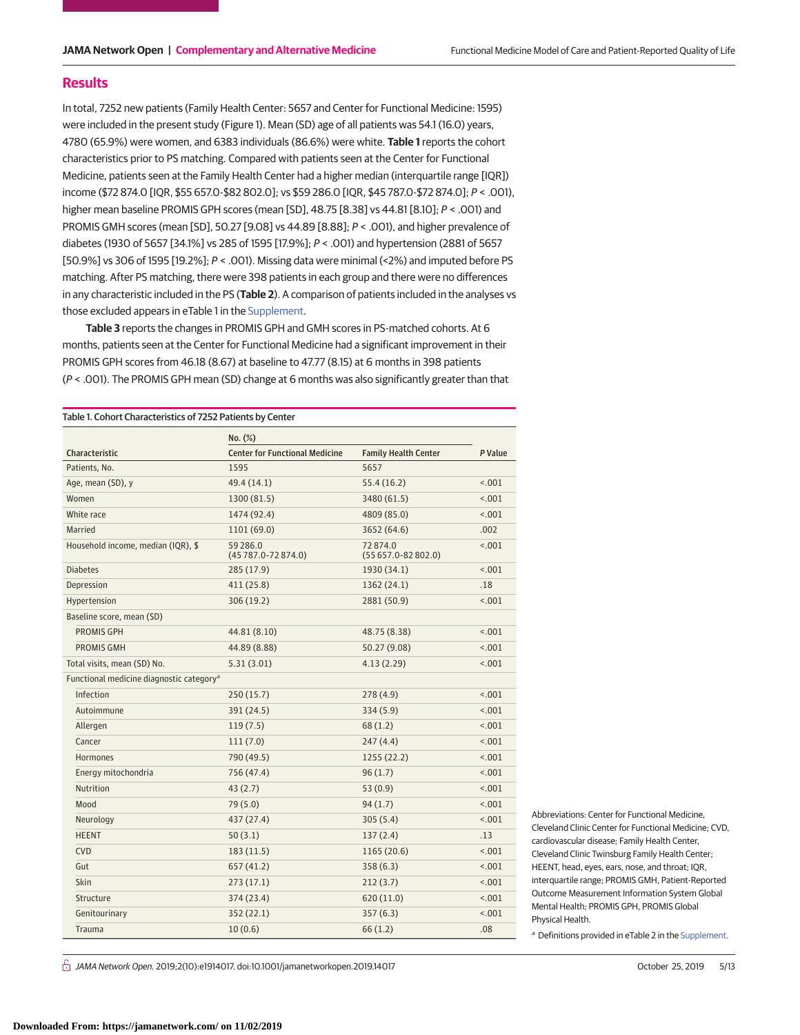## **Results**

In total, 7252 new patients (Family Health Center: 5657 and Center for Functional Medicine: 1595) were included in the present study (Figure 1). Mean (SD) age of all patients was 54.1 (16.0) years, 4780 (65.9%) were women, and 6383 individuals (86.6%) were white. **Table 1** reports the cohort characteristics prior to PS matching. Compared with patients seen at the Center for Functional Medicine, patients seen at the Family Health Center had a higher median (interquartile range [IQR]) income (\$72 874.0 [IQR, \$55 657.0-\$82 802.0]; vs \$59 286.0 [IQR, \$45 787.0-\$72 874.0]; P < .001), higher mean baseline PROMIS GPH scores (mean [SD], 48.75 [8.38] vs 44.81 [8.10]; P < .001) and PROMIS GMH scores (mean [SD], 50.27 [9.08] vs 44.89 [8.88]; P < .001), and higher prevalence of diabetes (1930 of 5657 [34.1%] vs 285 of 1595 [17.9%]; P < .001) and hypertension (2881 of 5657 [50.9%] vs 306 of 1595 [19.2%]; P < .001). Missing data were minimal (<2%) and imputed before PS matching. After PS matching, there were 398 patients in each group and there were no differences in any characteristic included in the PS (**Table 2**). A comparison of patients included in the analyses vs those excluded appears in eTable 1 in the [Supplement.](https://jama.jamanetwork.com/article.aspx?doi=10.1001/jamanetworkopen.2019.14017&utm_campaign=articlePDF%26utm_medium=articlePDFlink%26utm_source=articlePDF%26utm_content=jamanetworkopen.2019.14017)

**Table 3** reports the changes in PROMIS GPH and GMH scores in PS-matched cohorts. At 6 months, patients seen at the Center for Functional Medicine had a significant improvement in their PROMIS GPH scores from 46.18 (8.67) at baseline to 47.77 (8.15) at 6 months in 398 patients (P < .001). The PROMIS GPH mean (SD) change at 6 months was also significantly greater than that

|                                                      | $No.$ $(\%)$                          |                                  |         |
|------------------------------------------------------|---------------------------------------|----------------------------------|---------|
| Characteristic                                       | <b>Center for Functional Medicine</b> | <b>Family Health Center</b>      | P Value |
| Patients, No.                                        | 1595                                  | 5657                             |         |
| Age, mean (SD), y                                    | 49.4 (14.1)                           | 55.4 (16.2)                      | < .001  |
| Women                                                | 1300 (81.5)                           | 3480 (61.5)                      | < .001  |
| White race                                           | 1474 (92.4)                           | 4809 (85.0)                      | 1001    |
| Married                                              | 1101 (69.0)                           | 3652 (64.6)                      | .002    |
| Household income, median (IQR), \$                   | 59 286.0<br>$(45787.0 - 72874.0)$     | 72874.0<br>$(55657.0 - 82802.0)$ | < .001  |
| <b>Diabetes</b>                                      | 285 (17.9)                            | 1930 (34.1)                      | < .001  |
| Depression                                           | 411(25.8)                             | 1362 (24.1)                      | .18     |
| Hypertension                                         | 306 (19.2)                            | 2881 (50.9)                      | < .001  |
| Baseline score, mean (SD)                            |                                       |                                  |         |
| <b>PROMIS GPH</b>                                    | 44.81 (8.10)                          | 48.75 (8.38)                     | < .001  |
| <b>PROMIS GMH</b>                                    | 44.89 (8.88)                          | 50.27 (9.08)                     | < .001  |
| Total visits, mean (SD) No.                          | 5.31(3.01)                            | 4.13(2.29)                       | < .001  |
| Functional medicine diagnostic category <sup>a</sup> |                                       |                                  |         |
| Infection                                            | 250(15.7)                             | 278(4.9)                         | < .001  |
| Autoimmune                                           | 391 (24.5)                            | 334(5.9)                         | < .001  |
| Allergen                                             | 119(7.5)                              | 68(1.2)                          | < .001  |
| Cancer                                               | 111(7.0)                              | 247(4.4)                         | < .001  |
| Hormones                                             | 790 (49.5)                            | 1255 (22.2)                      | < .001  |
| Energy mitochondria                                  | 756 (47.4)                            | 96(1.7)                          | < .001  |
| Nutrition                                            | 43(2.7)                               | 53(0.9)                          | < .001  |
| Mood                                                 | 79 (5.0)                              | 94(1.7)                          | < .001  |
| Neurology                                            | 437 (27.4)                            | 305(5.4)                         | < .001  |
| <b>HEENT</b>                                         | 50(3.1)                               | 137(2.4)                         | .13     |
| <b>CVD</b>                                           | 183(11.5)                             | 1165 (20.6)                      | < .001  |
| Gut                                                  | 657(41.2)                             | 358(6.3)                         | < .001  |
| Skin                                                 | 273(17.1)                             | 212(3.7)                         | < .001  |
| Structure                                            | 374 (23.4)                            | 620(11.0)                        | < .001  |
| Genitourinary                                        | 352(22.1)                             | 357(6.3)                         | 15.001  |
| Trauma                                               | 10(0.6)                               | 66(1.2)                          | .08     |

Abbreviations: Center for Functional Medicine, Cleveland Clinic Center for Functional Medicine; CVD, cardiovascular disease; Family Health Center, Cleveland Clinic Twinsburg Family Health Center; HEENT, head, eyes, ears, nose, and throat; IQR, interquartile range; PROMIS GMH, Patient-Reported Outcome Measurement Information System Global Mental Health; PROMIS GPH, PROMIS Global Physical Health.

<sup>a</sup> Definitions provided in eTable 2 in the [Supplement.](https://jama.jamanetwork.com/article.aspx?doi=10.1001/jamanetworkopen.2019.14017&utm_campaign=articlePDF%26utm_medium=articlePDFlink%26utm_source=articlePDF%26utm_content=jamanetworkopen.2019.14017)

 $\bigcap$  JAMA Network Open. 2019;2(10):e1914017. doi:10.1001/jamanetworkopen.2019.14017 (Reprinted) October 25, 2019 5/13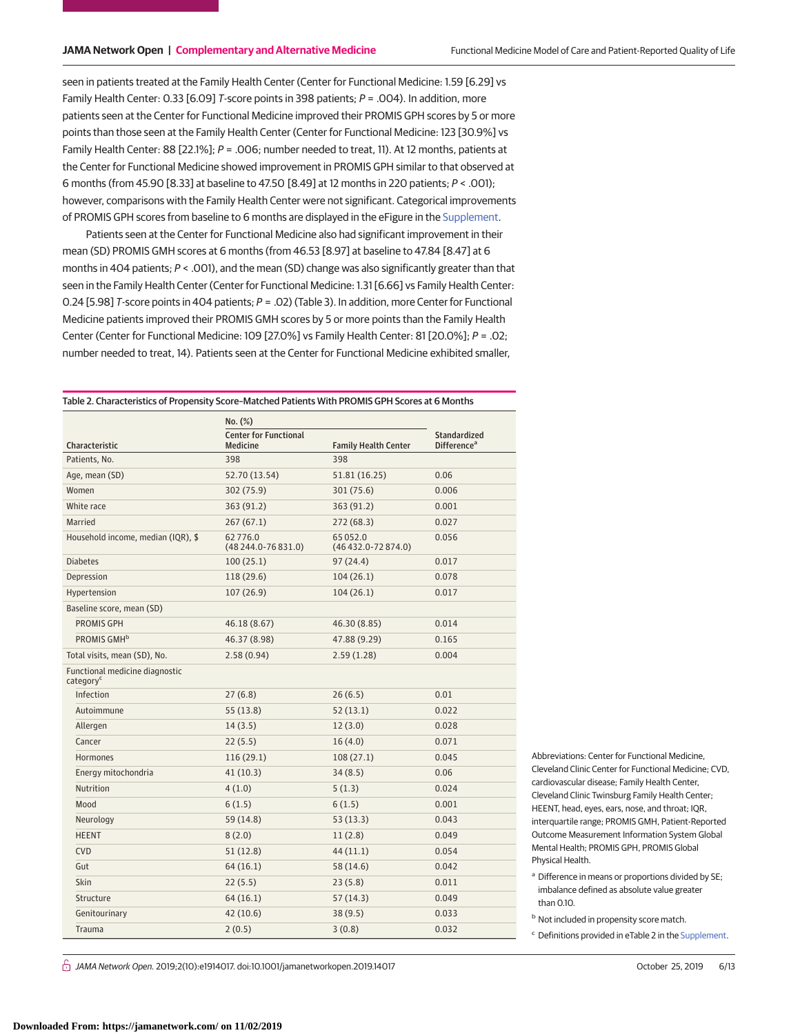seen in patients treated at the Family Health Center (Center for Functional Medicine: 1.59 [6.29] vs Family Health Center: 0.33 [6.09] T-score points in 398 patients;  $P = .004$ ). In addition, more patients seen at the Center for Functional Medicine improved their PROMIS GPH scores by 5 or more points than those seen at the Family Health Center (Center for Functional Medicine: 123 [30.9%] vs Family Health Center: 88 [22.1%]; P = .006; number needed to treat, 11). At 12 months, patients at the Center for Functional Medicine showed improvement in PROMIS GPH similar to that observed at 6 months (from 45.90 [8.33] at baseline to 47.50 [8.49] at 12 months in 220 patients;  $P < .001$ ); however, comparisons with the Family Health Center were not significant. Categorical improvements of PROMIS GPH scores from baseline to 6 months are displayed in the eFigure in the [Supplement.](https://jama.jamanetwork.com/article.aspx?doi=10.1001/jamanetworkopen.2019.14017&utm_campaign=articlePDF%26utm_medium=articlePDFlink%26utm_source=articlePDF%26utm_content=jamanetworkopen.2019.14017)

Patients seen at the Center for Functional Medicine also had significant improvement in their mean (SD) PROMIS GMH scores at 6 months (from 46.53 [8.97] at baseline to 47.84 [8.47] at 6 months in 404 patients;  $P < .001$ ), and the mean (SD) change was also significantly greater than that seen in the Family Health Center (Center for Functional Medicine: 1.31 [6.66] vs Family Health Center: 0.24 [5.98] T-score points in 404 patients; P = .02) (Table 3). In addition, more Center for Functional Medicine patients improved their PROMIS GMH scores by 5 or more points than the Family Health Center (Center for Functional Medicine: 109 [27.0%] vs Family Health Center: 81 [20.0%]; P = .02; number needed to treat, 14). Patients seen at the Center for Functional Medicine exhibited smaller,

Table 2. Characteristics of Propensity Score–Matched Patients With PROMIS GPH Scores at 6 Months

|                                                         | No. (%)                                         |                                    |                                                |  |
|---------------------------------------------------------|-------------------------------------------------|------------------------------------|------------------------------------------------|--|
| Characteristic                                          | <b>Center for Functional</b><br><b>Medicine</b> | <b>Family Health Center</b>        | <b>Standardized</b><br>Difference <sup>a</sup> |  |
| Patients, No.                                           | 398                                             | 398                                |                                                |  |
| Age, mean (SD)                                          | 52.70 (13.54)                                   | 51.81 (16.25)                      | 0.06                                           |  |
| Women                                                   | 302 (75.9)                                      | 301 (75.6)                         | 0.006                                          |  |
| White race                                              | 363 (91.2)                                      | 363 (91.2)                         | 0.001                                          |  |
| Married                                                 | 267 (67.1)                                      | 272 (68.3)                         | 0.027                                          |  |
| Household income, median (IQR), \$                      | 62776.0<br>$(48244.0 - 76831.0)$                | 65 05 2.0<br>$(46432.0 - 72874.0)$ | 0.056                                          |  |
| <b>Diabetes</b>                                         | 100(25.1)                                       | 97 (24.4)                          | 0.017                                          |  |
| Depression                                              | 118 (29.6)                                      | 104(26.1)                          | 0.078                                          |  |
| Hypertension                                            | 107 (26.9)                                      | 104(26.1)                          | 0.017                                          |  |
| Baseline score, mean (SD)                               |                                                 |                                    |                                                |  |
| <b>PROMIS GPH</b>                                       | 46.18 (8.67)                                    | 46.30 (8.85)                       | 0.014                                          |  |
| PROMIS GMH <sup>b</sup>                                 | 46.37 (8.98)                                    | 47.88 (9.29)                       | 0.165                                          |  |
| Total visits, mean (SD), No.                            | 2.58(0.94)                                      | 2.59(1.28)                         | 0.004                                          |  |
| Functional medicine diagnostic<br>category <sup>c</sup> |                                                 |                                    |                                                |  |
| Infection                                               | 27(6.8)                                         | 26(6.5)                            | 0.01                                           |  |
| Autoimmune                                              | 55 (13.8)                                       | 52(13.1)                           | 0.022                                          |  |
| Allergen                                                | 14(3.5)                                         | 12(3.0)                            | 0.028                                          |  |
| Cancer                                                  | 22 (5.5)                                        | 16(4.0)                            | 0.071                                          |  |
| Hormones                                                | 116 (29.1)                                      | 108(27.1)                          | 0.045                                          |  |
| Energy mitochondria                                     | 41(10.3)                                        | 34(8.5)                            | 0.06                                           |  |
| Nutrition                                               | 4(1.0)                                          | 5(1.3)                             | 0.024                                          |  |
| Mood                                                    | 6(1.5)                                          | 6(1.5)                             | 0.001                                          |  |
| Neurology                                               | 59 (14.8)                                       | 53(13.3)                           | 0.043                                          |  |
| <b>HEENT</b>                                            | 8(2.0)                                          | 11(2.8)                            | 0.049                                          |  |
| <b>CVD</b>                                              | 51(12.8)                                        | 44 (11.1)                          | 0.054                                          |  |
| Gut                                                     | 64 (16.1)                                       | 58 (14.6)                          | 0.042                                          |  |
| <b>Skin</b>                                             | 22 (5.5)                                        | 23(5.8)                            | 0.011                                          |  |
| Structure                                               | 64 (16.1)                                       | 57 (14.3)                          | 0.049                                          |  |
| Genitourinary                                           | 42 (10.6)                                       | 38(9.5)                            | 0.033                                          |  |
| Trauma                                                  | 2(0.5)                                          | 3(0.8)                             | 0.032                                          |  |

Abbreviations: Center for Functional Medicine, Cleveland Clinic Center for Functional Medicine; CVD, cardiovascular disease; Family Health Center, Cleveland Clinic Twinsburg Family Health Center; HEENT, head, eyes, ears, nose, and throat; IQR, interquartile range; PROMIS GMH, Patient-Reported Outcome Measurement Information System Global Mental Health; PROMIS GPH, PROMIS Global Physical Health.

- <sup>a</sup> Difference in means or proportions divided by SE; imbalance defined as absolute value greater than 0.10.
- **b** Not included in propensity score match.
- <sup>c</sup> Definitions provided in eTable 2 in the [Supplement.](https://jama.jamanetwork.com/article.aspx?doi=10.1001/jamanetworkopen.2019.14017&utm_campaign=articlePDF%26utm_medium=articlePDFlink%26utm_source=articlePDF%26utm_content=jamanetworkopen.2019.14017)

 $\bigcap$  JAMA Network Open. 2019;2(10):e1914017. doi:10.1001/jamanetworkopen.2019.14017 (Reprinted) October 25, 2019 6/13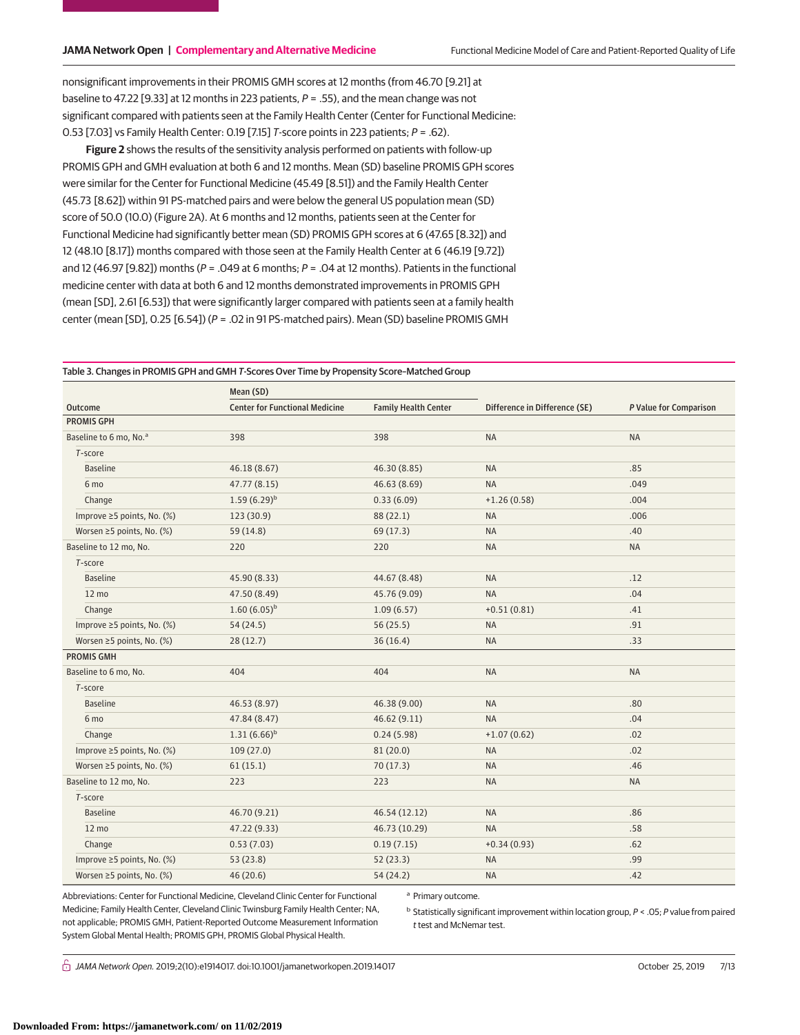nonsignificant improvements in their PROMIS GMH scores at 12 months (from 46.70 [9.21] at baseline to 47.22 [9.33] at 12 months in 223 patients,  $P = .55$ ), and the mean change was not significant compared with patients seen at the Family Health Center (Center for Functional Medicine: 0.53 [7.03] vs Family Health Center: 0.19 [7.15] T-score points in 223 patients; P = .62).

**Figure 2** shows the results of the sensitivity analysis performed on patients with follow-up PROMIS GPH and GMH evaluation at both 6 and 12 months. Mean (SD) baseline PROMIS GPH scores were similar for the Center for Functional Medicine (45.49 [8.51]) and the Family Health Center (45.73 [8.62]) within 91 PS-matched pairs and were below the general US population mean (SD) score of 50.0 (10.0) (Figure 2A). At 6 months and 12 months, patients seen at the Center for Functional Medicine had significantly better mean (SD) PROMIS GPH scores at 6 (47.65 [8.32]) and 12 (48.10 [8.17]) months compared with those seen at the Family Health Center at 6 (46.19 [9.72]) and 12 (46.97 [9.82]) months ( $P = .049$  at 6 months;  $P = .04$  at 12 months). Patients in the functional medicine center with data at both 6 and 12 months demonstrated improvements in PROMIS GPH (mean [SD], 2.61 [6.53]) that were significantly larger compared with patients seen at a family health center (mean [SD], 0.25 [6.54]) (P = .02 in 91 PS-matched pairs). Mean (SD) baseline PROMIS GMH

Table 3. Changes in PROMIS GPH and GMH T-Scores Over Time by Propensity Score–Matched Group

| Mean (SD)                          |                                       |                             |                               |                        |  |
|------------------------------------|---------------------------------------|-----------------------------|-------------------------------|------------------------|--|
| <b>Outcome</b>                     | <b>Center for Functional Medicine</b> | <b>Family Health Center</b> | Difference in Difference (SE) | P Value for Comparison |  |
| <b>PROMIS GPH</b>                  |                                       |                             |                               |                        |  |
| Baseline to 6 mo, No. <sup>a</sup> | 398                                   | 398                         | <b>NA</b>                     | <b>NA</b>              |  |
| T-score                            |                                       |                             |                               |                        |  |
| <b>Baseline</b>                    | 46.18 (8.67)                          | 46.30 (8.85)                | <b>NA</b>                     | .85                    |  |
| 6 mo                               | 47.77 (8.15)                          | 46.63 (8.69)                | <b>NA</b>                     | .049                   |  |
| Change                             | $1.59(6.29)^{b}$                      | 0.33(6.09)                  | $+1.26(0.58)$                 | .004                   |  |
| Improve $\geq$ 5 points, No. (%)   | 123(30.9)                             | 88 (22.1)                   | <b>NA</b>                     | .006                   |  |
| Worsen ≥5 points, No. (%)          | 59 (14.8)                             | 69 (17.3)                   | <b>NA</b>                     | .40                    |  |
| Baseline to 12 mo, No.             | 220                                   | 220                         | <b>NA</b>                     | <b>NA</b>              |  |
| T-score                            |                                       |                             |                               |                        |  |
| <b>Baseline</b>                    | 45.90 (8.33)                          | 44.67 (8.48)                | <b>NA</b>                     | .12                    |  |
| $12 \text{ mo}$                    | 47.50 (8.49)                          | 45.76 (9.09)                | <b>NA</b>                     | .04                    |  |
| Change                             | $1.60(6.05)^{b}$                      | 1.09(6.57)                  | $+0.51(0.81)$                 | .41                    |  |
| Improve ≥5 points, No. (%)         | 54(24.5)                              | 56(25.5)                    | <b>NA</b>                     | .91                    |  |
| Worsen ≥5 points, No. (%)          | 28(12.7)                              | 36(16.4)                    | <b>NA</b>                     | .33                    |  |
| <b>PROMIS GMH</b>                  |                                       |                             |                               |                        |  |
| Baseline to 6 mo, No.              | 404                                   | 404                         | <b>NA</b>                     | <b>NA</b>              |  |
| T-score                            |                                       |                             |                               |                        |  |
| <b>Baseline</b>                    | 46.53 (8.97)                          | 46.38 (9.00)                | <b>NA</b>                     | .80                    |  |
| 6 mo                               | 47.84 (8.47)                          | 46.62 (9.11)                | <b>NA</b>                     | .04                    |  |
| Change                             | $1.31(6.66)^b$                        | 0.24(5.98)                  | $+1.07(0.62)$                 | .02                    |  |
| Improve $\geq$ 5 points, No. (%)   | 109(27.0)                             | 81(20.0)                    | <b>NA</b>                     | .02                    |  |
| Worsen ≥5 points, No. (%)          | 61(15.1)                              | 70(17.3)                    | <b>NA</b>                     | .46                    |  |
| Baseline to 12 mo, No.             | 223                                   | 223                         | <b>NA</b>                     | <b>NA</b>              |  |
| T-score                            |                                       |                             |                               |                        |  |
| <b>Baseline</b>                    | 46.70 (9.21)                          | 46.54 (12.12)               | <b>NA</b>                     | .86                    |  |
| $12 \text{ mo}$                    | 47.22 (9.33)                          | 46.73 (10.29)               | <b>NA</b>                     | .58                    |  |
| Change                             | 0.53(7.03)                            | 0.19(7.15)                  | $+0.34(0.93)$                 | .62                    |  |
| Improve ≥5 points, No. (%)         | 53 (23.8)                             | 52(23.3)                    | <b>NA</b>                     | .99                    |  |
| Worsen ≥5 points, No. (%)          | 46 (20.6)                             | 54(24.2)                    | <b>NA</b>                     | .42                    |  |

Abbreviations: Center for Functional Medicine, Cleveland Clinic Center for Functional Medicine; Family Health Center, Cleveland Clinic Twinsburg Family Health Center; NA, not applicable; PROMIS GMH, Patient-Reported Outcome Measurement Information System Global Mental Health; PROMIS GPH, PROMIS Global Physical Health.

<sup>a</sup> Primary outcome.

 $<sup>b</sup>$  Statistically significant improvement within location group,  $P < .05$ ; P value from paired</sup> t test and McNemar test.

 $\bigcap$  JAMA Network Open. 2019;2(10):e1914017. doi:10.1001/jamanetworkopen.2019.14017 (Reprinted) October 25, 2019 7/13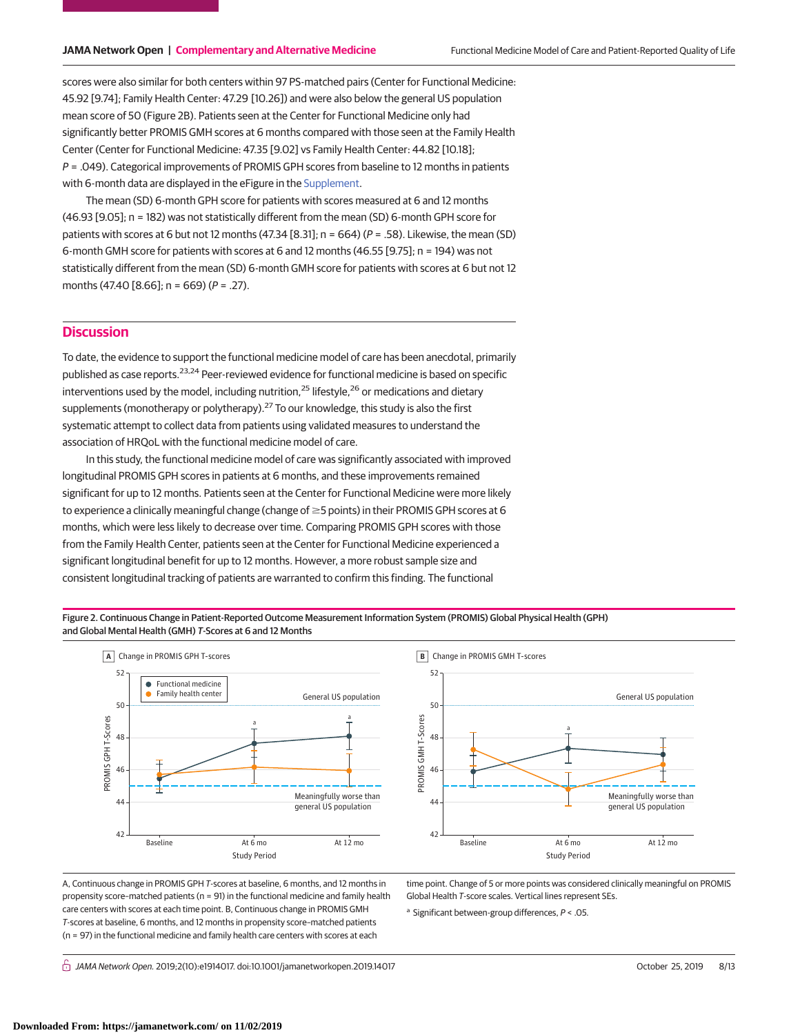scores were also similar for both centers within 97 PS-matched pairs (Center for Functional Medicine: 45.92 [9.74]; Family Health Center: 47.29 [10.26]) and were also below the general US population mean score of 50 (Figure 2B). Patients seen at the Center for Functional Medicine only had significantly better PROMIS GMH scores at 6 months compared with those seen at the Family Health Center (Center for Functional Medicine: 47.35 [9.02] vs Family Health Center: 44.82 [10.18]; P = .049). Categorical improvements of PROMIS GPH scores from baseline to 12 months in patients with 6-month data are displayed in the eFigure in the [Supplement.](https://jama.jamanetwork.com/article.aspx?doi=10.1001/jamanetworkopen.2019.14017&utm_campaign=articlePDF%26utm_medium=articlePDFlink%26utm_source=articlePDF%26utm_content=jamanetworkopen.2019.14017)

The mean (SD) 6-month GPH score for patients with scores measured at 6 and 12 months (46.93 [9.05]; n = 182) was not statistically different from the mean (SD) 6-month GPH score for patients with scores at 6 but not 12 months (47.34  $[8.31]$ ; n = 664) ( $P = .58$ ). Likewise, the mean (SD) 6-month GMH score for patients with scores at 6 and 12 months (46.55 [9.75]; n = 194) was not statistically different from the mean (SD) 6-month GMH score for patients with scores at 6 but not 12 months (47.40 [8.66];  $n = 669$ ) ( $P = .27$ ).

# **Discussion**

To date, the evidence to support the functional medicine model of care has been anecdotal, primarily published as case reports.<sup>23,24</sup> Peer-reviewed evidence for functional medicine is based on specific interventions used by the model, including nutrition,<sup>25</sup> lifestyle,<sup>26</sup> or medications and dietary supplements (monotherapy or polytherapy).<sup>27</sup> To our knowledge, this study is also the first systematic attempt to collect data from patients using validated measures to understand the association of HRQoL with the functional medicine model of care.

In this study, the functional medicine model of care was significantly associated with improved longitudinal PROMIS GPH scores in patients at 6 months, and these improvements remained significant for up to 12 months. Patients seen at the Center for Functional Medicine were more likely to experience a clinically meaningful change (change of  $\geq$ 5 points) in their PROMIS GPH scores at 6 months, which were less likely to decrease over time. Comparing PROMIS GPH scores with those from the Family Health Center, patients seen at the Center for Functional Medicine experienced a significant longitudinal benefit for up to 12 months. However, a more robust sample size and consistent longitudinal tracking of patients are warranted to confirm this finding. The functional

Figure 2. Continuous Change in Patient-Reported Outcome Measurement Information System (PROMIS) Global Physical Health (GPH) and Global Mental Health (GMH) T-Scores at 6 and 12 Months





A, Continuous change in PROMIS GPH T-scores at baseline, 6 months, and 12 months in propensity score–matched patients (n = 91) in the functional medicine and family health care centers with scores at each time point. B, Continuous change in PROMIS GMH T-scores at baseline, 6 months, and 12 months in propensity score–matched patients (n = 97) in the functional medicine and family health care centers with scores at each

time point. Change of 5 or more points was considered clinically meaningful on PROMIS Global Health T-score scales. Vertical lines represent SEs.

<sup>a</sup> Significant between-group differences,  $P < .05$ .

 $\bigcap$  JAMA Network Open. 2019;2(10):e1914017. doi:10.1001/jamanetworkopen.2019.14017 (Reprinted) October 25, 2019 8/13

**Downloaded From: https://jamanetwork.com/ on 11/02/2019**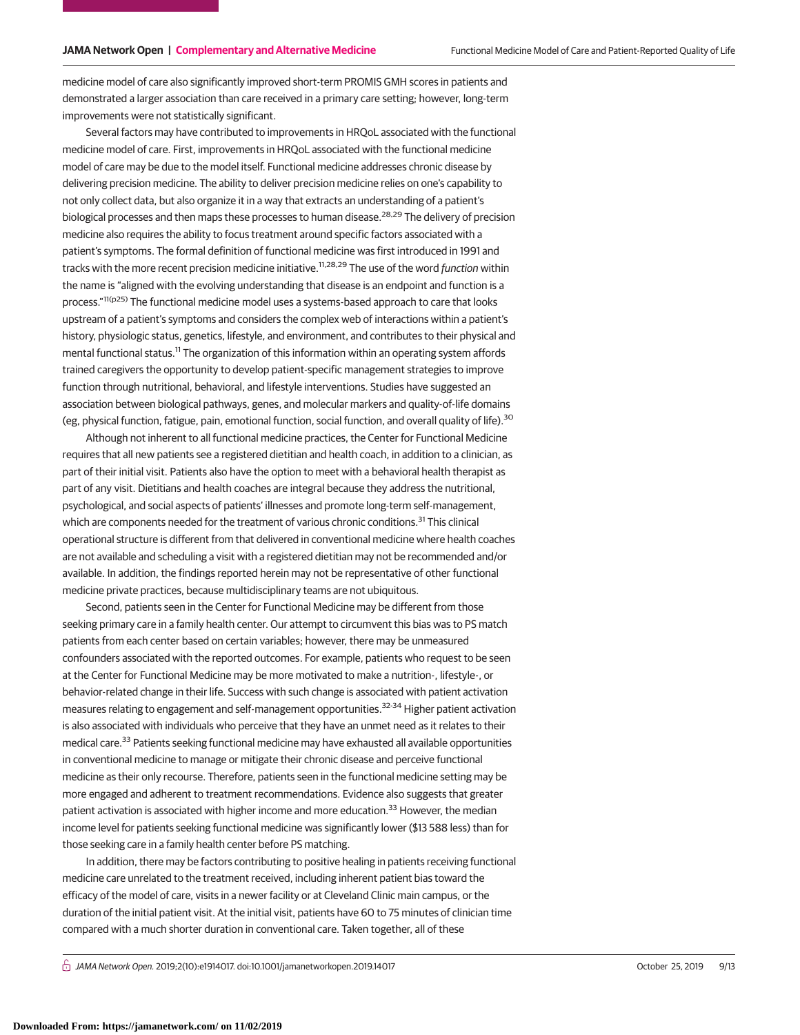medicine model of care also significantly improved short-term PROMIS GMH scores in patients and demonstrated a larger association than care received in a primary care setting; however, long-term improvements were not statistically significant.

Several factors may have contributed to improvements in HRQoL associated with the functional medicine model of care. First, improvements in HRQoL associated with the functional medicine model of care may be due to the model itself. Functional medicine addresses chronic disease by delivering precision medicine. The ability to deliver precision medicine relies on one's capability to not only collect data, but also organize it in a way that extracts an understanding of a patient's biological processes and then maps these processes to human disease.<sup>28,29</sup> The delivery of precision medicine also requires the ability to focus treatment around specific factors associated with a patient's symptoms. The formal definition of functional medicine was first introduced in 1991 and tracks with the more recent precision medicine initiative.<sup>11,28,29</sup> The use of the word function within the name is "aligned with the evolving understanding that disease is an endpoint and function is a process."<sup>11(p25)</sup> The functional medicine model uses a systems-based approach to care that looks upstream of a patient's symptoms and considers the complex web of interactions within a patient's history, physiologic status, genetics, lifestyle, and environment, and contributes to their physical and mental functional status.<sup>11</sup> The organization of this information within an operating system affords trained caregivers the opportunity to develop patient-specific management strategies to improve function through nutritional, behavioral, and lifestyle interventions. Studies have suggested an association between biological pathways, genes, and molecular markers and quality-of-life domains (eg, physical function, fatigue, pain, emotional function, social function, and overall quality of life).<sup>30</sup>

Although not inherent to all functional medicine practices, the Center for Functional Medicine requires that all new patients see a registered dietitian and health coach, in addition to a clinician, as part of their initial visit. Patients also have the option to meet with a behavioral health therapist as part of any visit. Dietitians and health coaches are integral because they address the nutritional, psychological, and social aspects of patients' illnesses and promote long-term self-management, which are components needed for the treatment of various chronic conditions.<sup>31</sup> This clinical operational structure is different from that delivered in conventional medicine where health coaches are not available and scheduling a visit with a registered dietitian may not be recommended and/or available. In addition, the findings reported herein may not be representative of other functional medicine private practices, because multidisciplinary teams are not ubiquitous.

Second, patients seen in the Center for Functional Medicine may be different from those seeking primary care in a family health center. Our attempt to circumvent this bias was to PS match patients from each center based on certain variables; however, there may be unmeasured confounders associated with the reported outcomes. For example, patients who request to be seen at the Center for Functional Medicine may be more motivated to make a nutrition-, lifestyle-, or behavior-related change in their life. Success with such change is associated with patient activation measures relating to engagement and self-management opportunities.<sup>32-34</sup> Higher patient activation is also associated with individuals who perceive that they have an unmet need as it relates to their medical care.<sup>33</sup> Patients seeking functional medicine may have exhausted all available opportunities in conventional medicine to manage or mitigate their chronic disease and perceive functional medicine as their only recourse. Therefore, patients seen in the functional medicine setting may be more engaged and adherent to treatment recommendations. Evidence also suggests that greater patient activation is associated with higher income and more education.<sup>33</sup> However, the median income level for patients seeking functional medicine was significantly lower (\$13 588 less) than for those seeking care in a family health center before PS matching.

In addition, there may be factors contributing to positive healing in patients receiving functional medicine care unrelated to the treatment received, including inherent patient bias toward the efficacy of the model of care, visits in a newer facility or at Cleveland Clinic main campus, or the duration of the initial patient visit. At the initial visit, patients have 60 to 75 minutes of clinician time compared with a much shorter duration in conventional care. Taken together, all of these

 $\bigcap$  JAMA Network Open. 2019;2(10):e1914017. doi:10.1001/jamanetworkopen.2019.14017 (Reprinted) October 25, 2019 9/13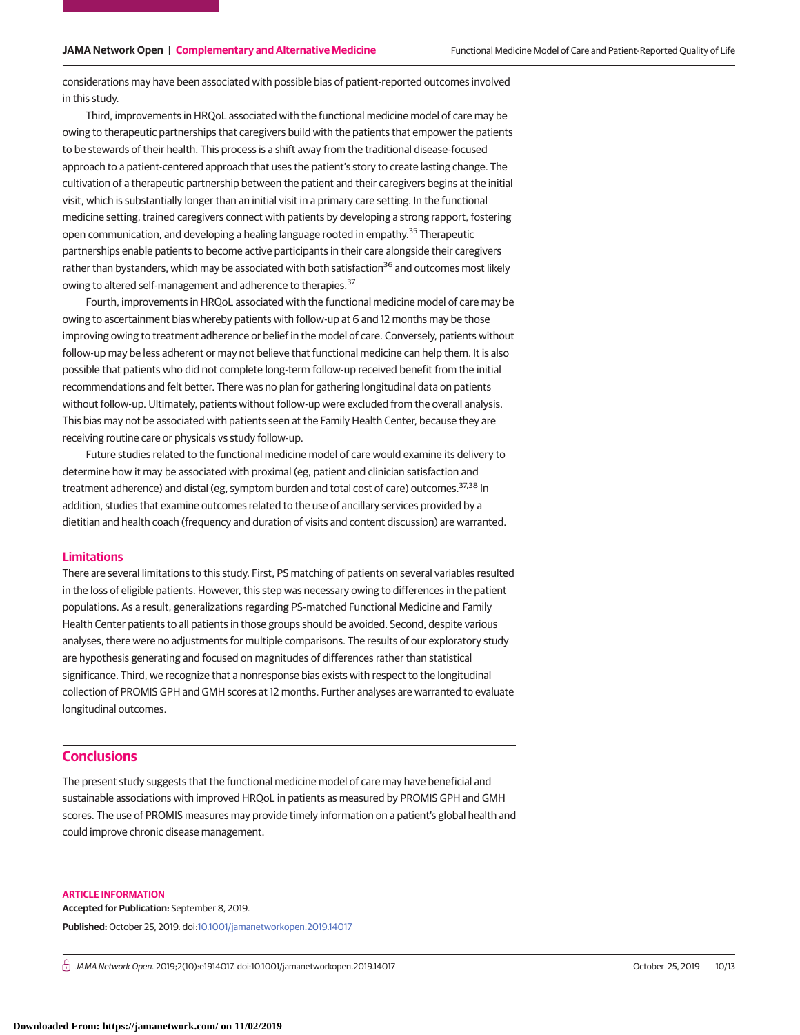considerations may have been associated with possible bias of patient-reported outcomes involved in this study.

Third, improvements in HRQoL associated with the functional medicine model of care may be owing to therapeutic partnerships that caregivers build with the patients that empower the patients to be stewards of their health. This process is a shift away from the traditional disease-focused approach to a patient-centered approach that uses the patient's story to create lasting change. The cultivation of a therapeutic partnership between the patient and their caregivers begins at the initial visit, which is substantially longer than an initial visit in a primary care setting. In the functional medicine setting, trained caregivers connect with patients by developing a strong rapport, fostering open communication, and developing a healing language rooted in empathy.<sup>35</sup> Therapeutic partnerships enable patients to become active participants in their care alongside their caregivers rather than bystanders, which may be associated with both satisfaction<sup>36</sup> and outcomes most likely owing to altered self-management and adherence to therapies.<sup>37</sup>

Fourth, improvements in HRQoL associated with the functional medicine model of care may be owing to ascertainment bias whereby patients with follow-up at 6 and 12 months may be those improving owing to treatment adherence or belief in the model of care. Conversely, patients without follow-up may be less adherent or may not believe that functional medicine can help them. It is also possible that patients who did not complete long-term follow-up received benefit from the initial recommendations and felt better. There was no plan for gathering longitudinal data on patients without follow-up. Ultimately, patients without follow-up were excluded from the overall analysis. This bias may not be associated with patients seen at the Family Health Center, because they are receiving routine care or physicals vs study follow-up.

Future studies related to the functional medicine model of care would examine its delivery to determine how it may be associated with proximal (eg, patient and clinician satisfaction and treatment adherence) and distal (eg, symptom burden and total cost of care) outcomes.<sup>37,38</sup> In addition, studies that examine outcomes related to the use of ancillary services provided by a dietitian and health coach (frequency and duration of visits and content discussion) are warranted.

#### **Limitations**

There are several limitations to this study. First, PS matching of patients on several variables resulted in the loss of eligible patients. However, this step was necessary owing to differences in the patient populations. As a result, generalizations regarding PS-matched Functional Medicine and Family Health Center patients to all patients in those groups should be avoided. Second, despite various analyses, there were no adjustments for multiple comparisons. The results of our exploratory study are hypothesis generating and focused on magnitudes of differences rather than statistical significance. Third, we recognize that a nonresponse bias exists with respect to the longitudinal collection of PROMIS GPH and GMH scores at 12 months. Further analyses are warranted to evaluate longitudinal outcomes.

# **Conclusions**

The present study suggests that the functional medicine model of care may have beneficial and sustainable associations with improved HRQoL in patients as measured by PROMIS GPH and GMH scores. The use of PROMIS measures may provide timely information on a patient's global health and could improve chronic disease management.

## **ARTICLE INFORMATION**

**Accepted for Publication:** September 8, 2019. **Published:** October 25, 2019. doi[:10.1001/jamanetworkopen.2019.14017](https://jama.jamanetwork.com/article.aspx?doi=10.1001/jamanetworkopen.2019.14017&utm_campaign=articlePDF%26utm_medium=articlePDFlink%26utm_source=articlePDF%26utm_content=jamanetworkopen.2019.14017)

 $\bigcap$  JAMA Network Open. 2019;2(10):e1914017. doi:10.1001/jamanetworkopen.2019.14017 (Reprinted) October 25, 2019 10/13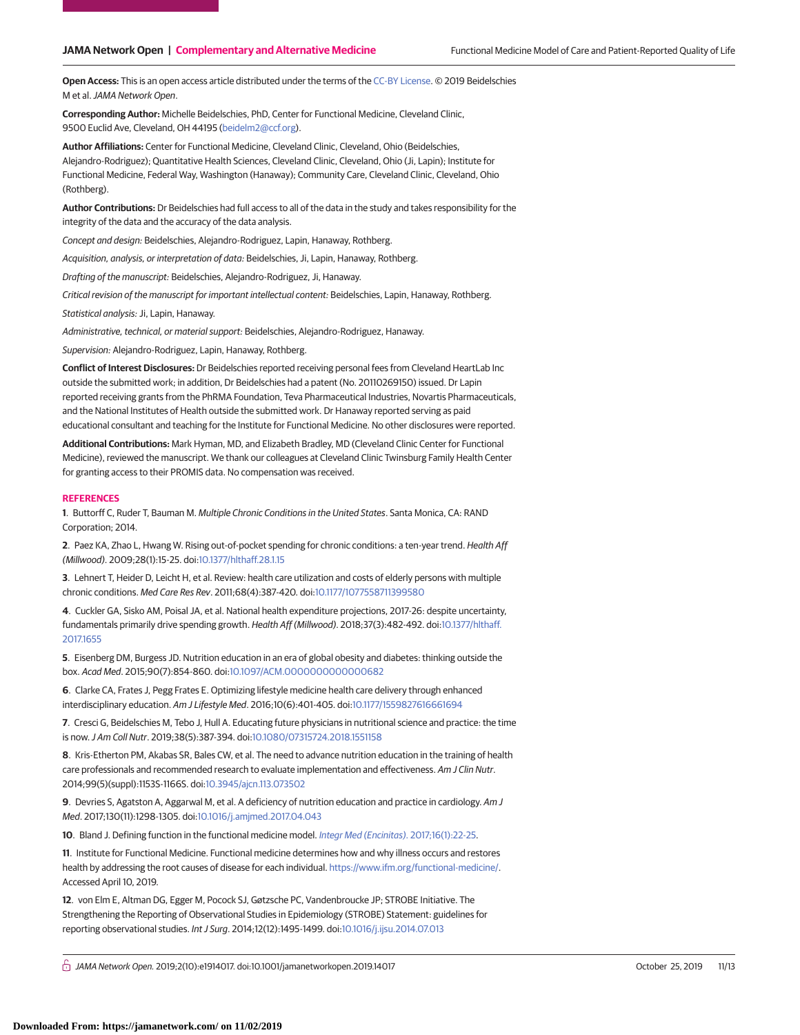**Open Access:** This is an open access article distributed under the terms of the [CC-BY License.](https://jamanetwork.com/journals/jamanetworkopen/pages/instructions-for-authors#SecOpenAccess/?utm_campaign=articlePDF%26utm_medium=articlePDFlink%26utm_source=articlePDF%26utm_content=jamanetworkopen.2019.14017) © 2019 Beidelschies M et al.JAMA Network Open.

**Corresponding Author:** Michelle Beidelschies, PhD, Center for Functional Medicine, Cleveland Clinic, 9500 Euclid Ave, Cleveland, OH 44195 [\(beidelm2@ccf.org\)](mailto:beidelm2@ccf.org).

**Author Affiliations:** Center for Functional Medicine, Cleveland Clinic, Cleveland, Ohio (Beidelschies, Alejandro-Rodriguez); Quantitative Health Sciences, Cleveland Clinic, Cleveland, Ohio (Ji, Lapin); Institute for Functional Medicine, Federal Way, Washington (Hanaway); Community Care, Cleveland Clinic, Cleveland, Ohio (Rothberg).

**Author Contributions:** Dr Beidelschies had full access to all of the data in the study and takes responsibility for the integrity of the data and the accuracy of the data analysis.

Concept and design: Beidelschies, Alejandro-Rodriguez, Lapin, Hanaway, Rothberg.

Acquisition, analysis, or interpretation of data: Beidelschies, Ji, Lapin, Hanaway, Rothberg.

Drafting of the manuscript: Beidelschies, Alejandro-Rodriguez, Ji, Hanaway.

Critical revision of the manuscript for important intellectual content: Beidelschies, Lapin, Hanaway, Rothberg.

Statistical analysis: Ji, Lapin, Hanaway.

Administrative, technical, or material support: Beidelschies, Alejandro-Rodriguez, Hanaway.

Supervision: Alejandro-Rodriguez, Lapin, Hanaway, Rothberg.

**Conflict of Interest Disclosures:** Dr Beidelschies reported receiving personal fees from Cleveland HeartLab Inc outside the submitted work; in addition, Dr Beidelschies had a patent (No. 20110269150) issued. Dr Lapin reported receiving grants from the PhRMA Foundation, Teva Pharmaceutical Industries, Novartis Pharmaceuticals, and the National Institutes of Health outside the submitted work. Dr Hanaway reported serving as paid educational consultant and teaching for the Institute for Functional Medicine. No other disclosures were reported.

**Additional Contributions:** Mark Hyman, MD, and Elizabeth Bradley, MD (Cleveland Clinic Center for Functional Medicine), reviewed the manuscript. We thank our colleagues at Cleveland Clinic Twinsburg Family Health Center for granting access to their PROMIS data. No compensation was received.

#### **REFERENCES**

**1**. Buttorff C, Ruder T, Bauman M. Multiple Chronic Conditions in the United States. Santa Monica, CA: RAND Corporation; 2014.

**2**. Paez KA, Zhao L, Hwang W. Rising out-of-pocket spending for chronic conditions: a ten-year trend. Health Aff (Millwood). 2009;28(1):15-25. doi[:10.1377/hlthaff.28.1.15](https://dx.doi.org/10.1377/hlthaff.28.1.15)

**3**. Lehnert T, Heider D, Leicht H, et al. Review: health care utilization and costs of elderly persons with multiple chronic conditions. Med Care Res Rev. 2011;68(4):387-420. doi[:10.1177/1077558711399580](https://dx.doi.org/10.1177/1077558711399580)

**4**. Cuckler GA, Sisko AM, Poisal JA, et al. National health expenditure projections, 2017-26: despite uncertainty, fundamentals primarily drive spending growth. Health Aff (Millwood). 2018;37(3):482-492. doi[:10.1377/hlthaff.](https://dx.doi.org/10.1377/hlthaff.2017.1655) [2017.1655](https://dx.doi.org/10.1377/hlthaff.2017.1655)

**5**. Eisenberg DM, Burgess JD. Nutrition education in an era of global obesity and diabetes: thinking outside the box. Acad Med. 2015;90(7):854-860. doi[:10.1097/ACM.0000000000000682](https://dx.doi.org/10.1097/ACM.0000000000000682)

**6**. Clarke CA, Frates J, Pegg Frates E. Optimizing lifestyle medicine health care delivery through enhanced interdisciplinary education. Am J Lifestyle Med. 2016;10(6):401-405. doi[:10.1177/1559827616661694](https://dx.doi.org/10.1177/1559827616661694)

**7**. Cresci G, Beidelschies M, Tebo J, Hull A. Educating future physicians in nutritional science and practice: the time is now.J Am Coll Nutr. 2019;38(5):387-394. doi[:10.1080/07315724.2018.1551158](https://dx.doi.org/10.1080/07315724.2018.1551158)

**8**. Kris-Etherton PM, Akabas SR, Bales CW, et al. The need to advance nutrition education in the training of health care professionals and recommended research to evaluate implementation and effectiveness. Am J Clin Nutr. 2014;99(5)(suppl):1153S-1166S. doi[:10.3945/ajcn.113.073502](https://dx.doi.org/10.3945/ajcn.113.073502)

**9**. Devries S, Agatston A, Aggarwal M, et al. A deficiency of nutrition education and practice in cardiology. Am J Med. 2017;130(11):1298-1305. doi[:10.1016/j.amjmed.2017.04.043](https://dx.doi.org/10.1016/j.amjmed.2017.04.043)

**10**. Bland J. Defining function in the functional medicine model. [Integr Med \(Encinitas\)](https://www.ncbi.nlm.nih.gov/pubmed/28223904). 2017;16(1):22-25.

**11**. Institute for Functional Medicine. Functional medicine determines how and why illness occurs and restores health by addressing the root causes of disease for each individual. [https://www.ifm.org/functional-medicine/.](https://www.ifm.org/functional-medicine/) Accessed April 10, 2019.

**12**. von Elm E, Altman DG, Egger M, Pocock SJ, Gøtzsche PC, Vandenbroucke JP; STROBE Initiative. The Strengthening the Reporting of Observational Studies in Epidemiology (STROBE) Statement: guidelines for reporting observational studies. Int J Surg. 2014;12(12):1495-1499. doi[:10.1016/j.ijsu.2014.07.013](https://dx.doi.org/10.1016/j.ijsu.2014.07.013)

 $\bigcap$  JAMA Network Open. 2019;2(10):e1914017. doi:10.1001/jamanetworkopen.2019.14017 (Reprinted) October 25, 2019 11/13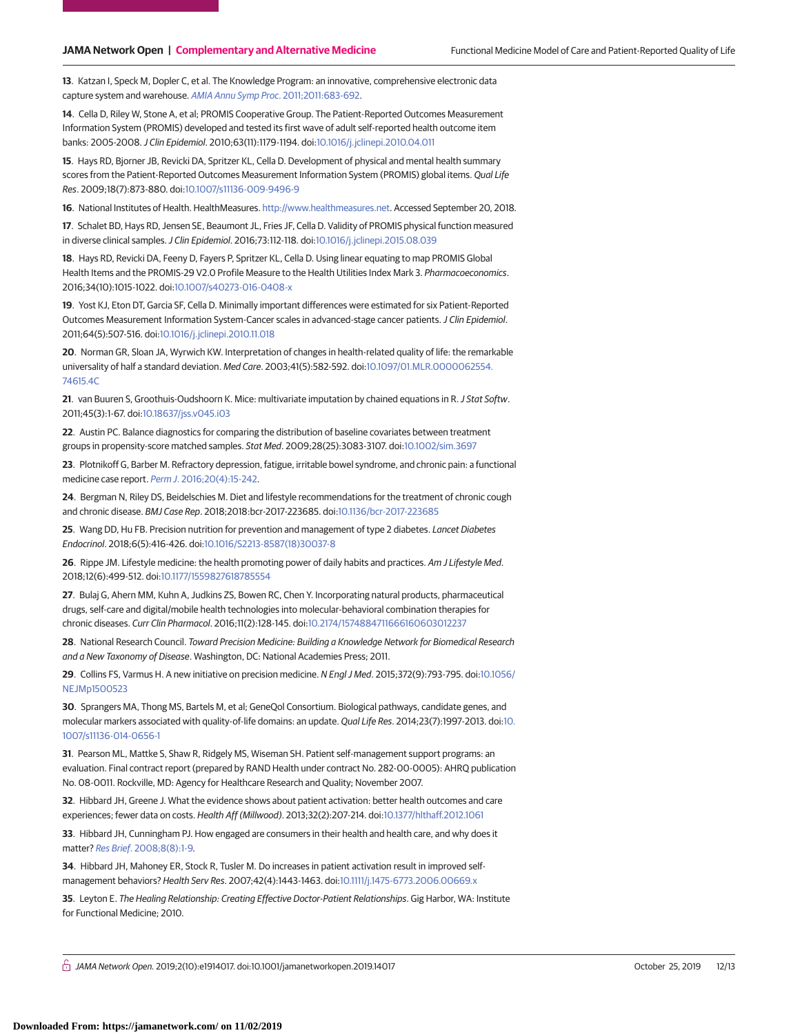**13**. Katzan I, Speck M, Dopler C, et al. The Knowledge Program: an innovative, comprehensive electronic data capture system and warehouse. [AMIA Annu Symp Proc](https://www.ncbi.nlm.nih.gov/pubmed/22195124). 2011;2011:683-692.

**14**. Cella D, Riley W, Stone A, et al; PROMIS Cooperative Group. The Patient-Reported Outcomes Measurement Information System (PROMIS) developed and tested its first wave of adult self-reported health outcome item banks: 2005-2008.J Clin Epidemiol. 2010;63(11):1179-1194. doi[:10.1016/j.jclinepi.2010.04.011](https://dx.doi.org/10.1016/j.jclinepi.2010.04.011)

**15**. Hays RD, Bjorner JB, Revicki DA, Spritzer KL, Cella D. Development of physical and mental health summary scores from the Patient-Reported Outcomes Measurement Information System (PROMIS) global items. Qual Life Res. 2009;18(7):873-880. doi[:10.1007/s11136-009-9496-9](https://dx.doi.org/10.1007/s11136-009-9496-9)

**16**. National Institutes of Health. HealthMeasures. [http://www.healthmeasures.net.](http://www.healthmeasures.net) Accessed September 20, 2018.

**17**. Schalet BD, Hays RD, Jensen SE, Beaumont JL, Fries JF, Cella D. Validity of PROMIS physical function measured in diverse clinical samples.J Clin Epidemiol. 2016;73:112-118. doi[:10.1016/j.jclinepi.2015.08.039](https://dx.doi.org/10.1016/j.jclinepi.2015.08.039)

**18**. Hays RD, Revicki DA, Feeny D, Fayers P, Spritzer KL, Cella D. Using linear equating to map PROMIS Global Health Items and the PROMIS-29 V2.0 Profile Measure to the Health Utilities Index Mark 3. Pharmacoeconomics. 2016;34(10):1015-1022. doi[:10.1007/s40273-016-0408-x](https://dx.doi.org/10.1007/s40273-016-0408-x)

**19**. Yost KJ, Eton DT, Garcia SF, Cella D. Minimally important differences were estimated for six Patient-Reported Outcomes Measurement Information System-Cancer scales in advanced-stage cancer patients. J Clin Epidemiol. 2011;64(5):507-516. doi[:10.1016/j.jclinepi.2010.11.018](https://dx.doi.org/10.1016/j.jclinepi.2010.11.018)

**20**. Norman GR, Sloan JA, Wyrwich KW. Interpretation of changes in health-related quality of life: the remarkable universality of half a standard deviation. Med Care. 2003;41(5):582-592. doi[:10.1097/01.MLR.0000062554.](https://dx.doi.org/10.1097/01.MLR.0000062554.74615.4C) [74615.4C](https://dx.doi.org/10.1097/01.MLR.0000062554.74615.4C)

**21**. van Buuren S, Groothuis-Oudshoorn K. Mice: multivariate imputation by chained equations in R.J Stat Softw. 2011;45(3):1-67. doi[:10.18637/jss.v045.i03](https://dx.doi.org/10.18637/jss.v045.i03)

**22**. Austin PC. Balance diagnostics for comparing the distribution of baseline covariates between treatment groups in propensity-score matched samples. Stat Med. 2009;28(25):3083-3107. doi[:10.1002/sim.3697](https://dx.doi.org/10.1002/sim.3697)

**23**. Plotnikoff G, Barber M. Refractory depression, fatigue, irritable bowel syndrome, and chronic pain: a functional medicine case report. Perm J[. 2016;20\(4\):15-242.](https://www.ncbi.nlm.nih.gov/pubmed/27768569)

**24**. Bergman N, Riley DS, Beidelschies M. Diet and lifestyle recommendations for the treatment of chronic cough and chronic disease. BMJ Case Rep. 2018;2018:bcr-2017-223685. doi[:10.1136/bcr-2017-223685](https://dx.doi.org/10.1136/bcr-2017-223685)

**25**. Wang DD, Hu FB. Precision nutrition for prevention and management of type 2 diabetes. Lancet Diabetes Endocrinol. 2018;6(5):416-426. doi[:10.1016/S2213-8587\(18\)30037-8](https://dx.doi.org/10.1016/S2213-8587(18)30037-8)

**26**. Rippe JM. Lifestyle medicine: the health promoting power of daily habits and practices. Am J Lifestyle Med. 2018;12(6):499-512. doi[:10.1177/1559827618785554](https://dx.doi.org/10.1177/1559827618785554)

**27**. Bulaj G, Ahern MM, Kuhn A, Judkins ZS, Bowen RC, Chen Y. Incorporating natural products, pharmaceutical drugs, self-care and digital/mobile health technologies into molecular-behavioral combination therapies for chronic diseases. Curr Clin Pharmacol. 2016;11(2):128-145. doi[:10.2174/1574884711666160603012237](https://dx.doi.org/10.2174/1574884711666160603012237)

**28**. National Research Council. Toward Precision Medicine: Building a Knowledge Network for Biomedical Research and a New Taxonomy of Disease. Washington, DC: National Academies Press; 2011.

**29**. Collins FS, Varmus H. A new initiative on precision medicine. N Engl J Med. 2015;372(9):793-795. doi[:10.1056/](https://dx.doi.org/10.1056/NEJMp1500523) [NEJMp1500523](https://dx.doi.org/10.1056/NEJMp1500523)

**30**. Sprangers MA, Thong MS, Bartels M, et al; GeneQol Consortium. Biological pathways, candidate genes, and molecular markers associated with quality-of-life domains: an update. Qual Life Res. 2014;23(7):1997-2013. doi[:10.](https://dx.doi.org/10.1007/s11136-014-0656-1) [1007/s11136-014-0656-1](https://dx.doi.org/10.1007/s11136-014-0656-1)

**31**. Pearson ML, Mattke S, Shaw R, Ridgely MS, Wiseman SH. Patient self-management support programs: an evaluation. Final contract report (prepared by RAND Health under contract No. 282-00-0005): AHRQ publication No. 08-0011. Rockville, MD: Agency for Healthcare Research and Quality; November 2007.

**32**. Hibbard JH, Greene J. What the evidence shows about patient activation: better health outcomes and care experiences; fewer data on costs. Health Aff (Millwood). 2013;32(2):207-214. doi[:10.1377/hlthaff.2012.1061](https://dx.doi.org/10.1377/hlthaff.2012.1061)

**33**. Hibbard JH, Cunningham PJ. How engaged are consumers in their health and health care, and why does it matter? Res Brief[. 2008;8\(8\):1-9.](https://www.ncbi.nlm.nih.gov/pubmed/18946947)

**34**. Hibbard JH, Mahoney ER, Stock R, Tusler M. Do increases in patient activation result in improved selfmanagement behaviors? Health Serv Res. 2007;42(4):1443-1463. doi[:10.1111/j.1475-6773.2006.00669.x](https://dx.doi.org/10.1111/j.1475-6773.2006.00669.x)

**35**. Leyton E. The Healing Relationship: Creating Effective Doctor-Patient Relationships. Gig Harbor, WA: Institute for Functional Medicine; 2010.

 $\bigcap$  JAMA Network Open. 2019;2(10):e1914017. doi:10.1001/jamanetworkopen.2019.14017 (Reprinted) October 25, 2019 12/13